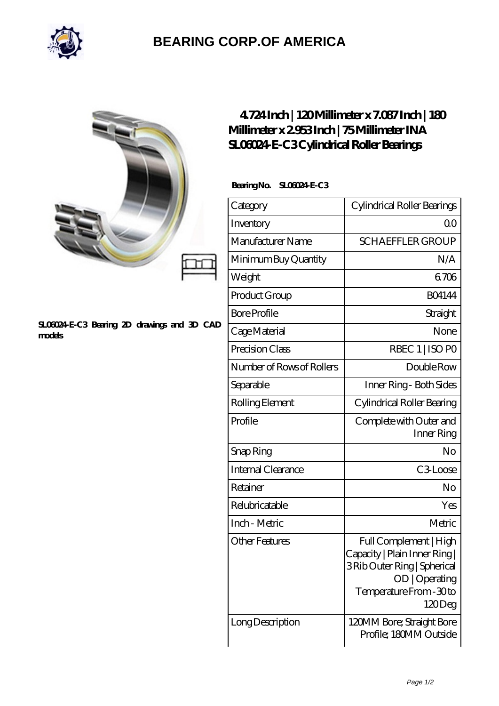

## **[BEARING CORP.OF AMERICA](https://m.bluemondayreview.com)**

#### **[SL06024-E-C3 Bearing 2D drawings and 3D CAD](https://m.bluemondayreview.com/pic-174835.html) [models](https://m.bluemondayreview.com/pic-174835.html)**

## **[4.724 Inch | 120 Millimeter x 7.087 Inch | 180](https://m.bluemondayreview.com/bh-174835-ina-sl06024-e-c3-cylindrical-roller-bearings.html) [Millimeter x 2.953 Inch | 75 Millimeter INA](https://m.bluemondayreview.com/bh-174835-ina-sl06024-e-c3-cylindrical-roller-bearings.html) [SL06024-E-C3 Cylindrical Roller Bearings](https://m.bluemondayreview.com/bh-174835-ina-sl06024-e-c3-cylindrical-roller-bearings.html)**

### **Bearing No. SL06024-E-C3**

| Category                  | Cylindrical Roller Bearings                                                                                                                     |
|---------------------------|-------------------------------------------------------------------------------------------------------------------------------------------------|
| Inventory                 | 0 <sup>0</sup>                                                                                                                                  |
| Manufacturer Name         | <b>SCHAEFFLER GROUP</b>                                                                                                                         |
| Minimum Buy Quantity      | N/A                                                                                                                                             |
| Weight                    | 6706                                                                                                                                            |
| Product Group             | <b>BO4144</b>                                                                                                                                   |
| <b>Bore Profile</b>       | Straight                                                                                                                                        |
| Cage Material             | None                                                                                                                                            |
| Precision Class           | RBEC 1   ISO PO                                                                                                                                 |
| Number of Rows of Rollers | Double Row                                                                                                                                      |
| Separable                 | Inner Ring - Both Sides                                                                                                                         |
| Rolling Element           | Cylindrical Roller Bearing                                                                                                                      |
| Profile                   | Complete with Outer and<br>Inner Ring                                                                                                           |
| Snap Ring                 | No                                                                                                                                              |
| <b>Internal Clearance</b> | C3Loose                                                                                                                                         |
| Retainer                  | No                                                                                                                                              |
| Relubricatable            | Yes                                                                                                                                             |
| Inch - Metric             | Metric                                                                                                                                          |
| <b>Other Features</b>     | Full Complement   High<br>Capacity   Plain Inner Ring  <br>3 Rib Outer Ring   Spherical<br>OD   Operating<br>Temperature From - 30 to<br>120Deg |
| Long Description          | 120MM Bore; Straight Bore<br>Profile; 180MM Outside                                                                                             |